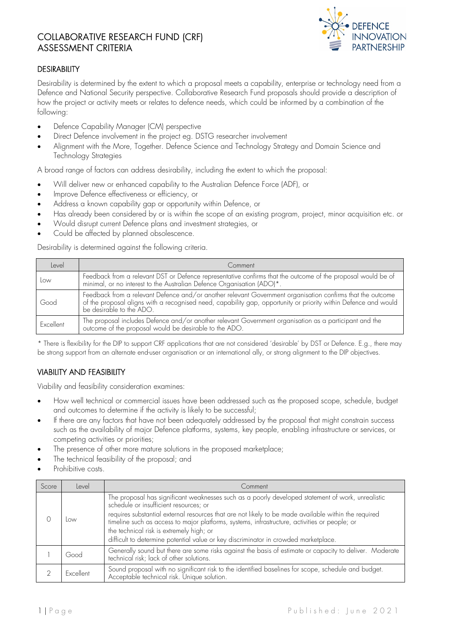# COLLABORATIVE RESEARCH FUND (CRF) ASSESSMENT CRITERIA



#### **DESIRABILITY**

Desirability is determined by the extent to which a proposal meets a capability, enterprise or technology need from a Defence and National Security perspective. Collaborative Research Fund proposals should provide a description of how the project or activity meets or relates to defence needs, which could be informed by a combination of the following:

- Defence Capability Manager (CM) perspective
- Direct Defence involvement in the project eg. DSTG researcher involvement
- Alignment with the More, Together. Defence Science and Technology Strategy and Domain Science and Technology Strategies

A broad range of factors can address desirability, including the extent to which the proposal:

- Will deliver new or enhanced capability to the Australian Defence Force (ADF), or
- Improve Defence effectiveness or efficiency, or
- Address a known capability gap or opportunity within Defence, or
- Has already been considered by or is within the scope of an existing program, project, minor acquisition etc. or
- Would disrupt current Defence plans and investment strategies, or
- Could be affected by planned obsolescence.

Desirability is determined against the following criteria.

| Level     | Comment                                                                                                                                                                                                                                                   |  |
|-----------|-----------------------------------------------------------------------------------------------------------------------------------------------------------------------------------------------------------------------------------------------------------|--|
| Low       | Feedback from a relevant DST or Defence representative confirms that the outcome of the proposal would be of<br>minimal, or no interest to the Australian Defence Organisation (ADO)*.                                                                    |  |
| Good      | Feedback from a relevant Defence and/or another relevant Government organisation confirms that the outcome<br>of the proposal aligns with a recognised need, capability gap, opportunity or priority within Defence and would<br>be desirable to the ADO. |  |
| Excellent | The proposal includes Defence and/or another relevant Government organisation as a participant and the<br>outcome of the proposal would be desirable to the ADO.                                                                                          |  |

\* There is flexibility for the DIP to support CRF applications that are not considered 'desirable' by DST or Defence. E.g., there may be strong support from an alternate end-user organisation or an international ally, or strong alignment to the DIP objectives.

#### VIABILITY AND FEASIBILITY

Viability and feasibility consideration examines:

- How well technical or commercial issues have been addressed such as the proposed scope, schedule, budget and outcomes to determine if the activity is likely to be successful;
- If there are any factors that have not been adequately addressed by the proposal that might constrain success such as the availability of major Defence platforms, systems, key people, enabling infrastructure or services, or competing activities or priorities;
- The presence of other more mature solutions in the proposed marketplace;
- The technical feasibility of the proposal; and
- Prohibitive costs.

| Score | Level                                                                                                                                                           | Comment                                                                                                                                                                                                                                                                                                                                                                                                                                                                                 |  |
|-------|-----------------------------------------------------------------------------------------------------------------------------------------------------------------|-----------------------------------------------------------------------------------------------------------------------------------------------------------------------------------------------------------------------------------------------------------------------------------------------------------------------------------------------------------------------------------------------------------------------------------------------------------------------------------------|--|
|       | Low                                                                                                                                                             | The proposal has significant weaknesses such as a poorly developed statement of work, unrealistic<br>schedule or insufficient resources; or<br>requires substantial external resources that are not likely to be made available within the required<br>timeline such as access to major platforms, systems, infrastructure, activities or people; or<br>the technical risk is extremely high; or<br>difficult to determine potential value or key discriminator in crowded marketplace. |  |
|       | Good                                                                                                                                                            | Generally sound but there are some risks against the basis of estimate or capacity to deliver. Moderate<br>technical risk; lack of other solutions.                                                                                                                                                                                                                                                                                                                                     |  |
|       | Sound proposal with no significant risk to the identified baselines for scope, schedule and budget.<br>Acceptable technical risk. Unique solution.<br>Excellent |                                                                                                                                                                                                                                                                                                                                                                                                                                                                                         |  |